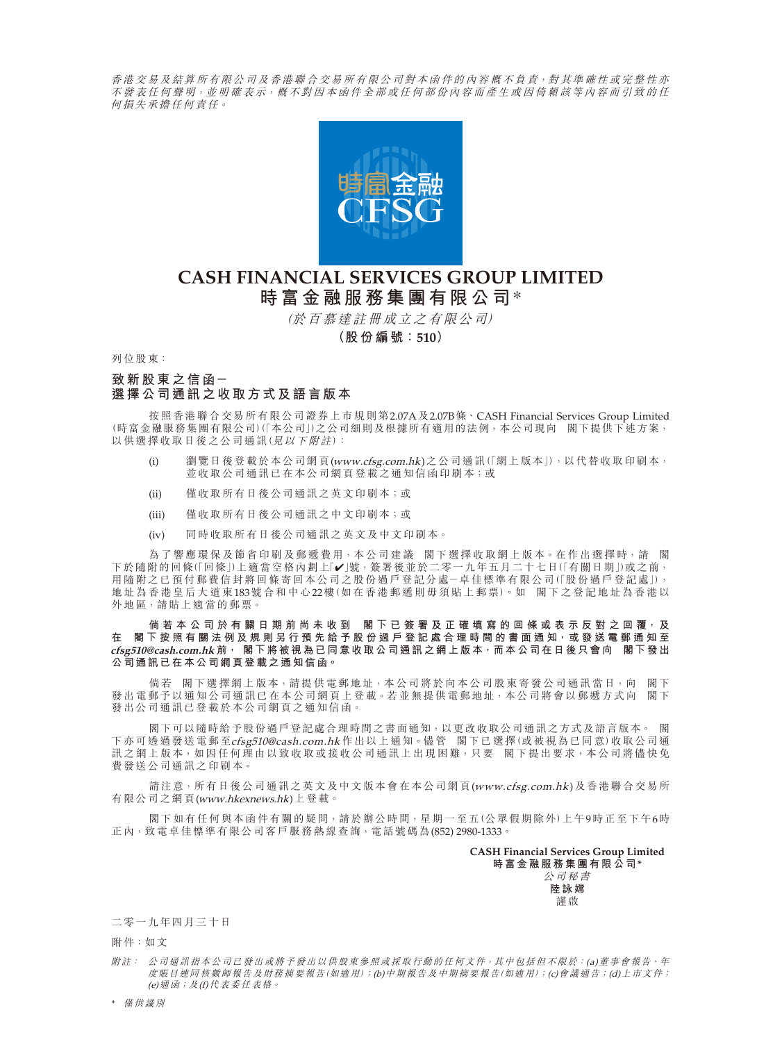香港交易及結算所有限公司及香港聯合交易所有限公司對本函件的內容概不負責,對其準確性或完整性亦 不發表任何 罄 明, 並 明 確 表 示, 概 不 對 因 本 函 件 全 部 或 任 何 部 份 内 容 而 產 生 或 因 倚 賴 該 等 內 容 而 引 致 的 任 何損失承擔任何責任。



# **CASH FINANCIAL SERVICES GROUP LIMITED 時富金融服務集團有限公司**\*

(於百慕達註冊成立之有限公司)

**(股份編號:510)**

列位股東:

## **致新股東之信函- 選擇公司通訊之收取方式及語言版本**

按照香港聯合交易所有限公司證券上市規則第2.07A及2.07B條、CASH Financial Services Group Limited (時富金融服務集團有限公司)(「本公司」)之公司細則及根據所有適用的法例,本公司現向 閣下提供下述方案, 以供選擇收取日後之公司通訊(見以下附註):

- (i) 瀏覽日後登載於本公司網頁(www.cfsg.com.hk)之公司通訊(「網上版本」),以代替收取印刷本, 並收取公司通訊已在本公司網頁登載之通知信函印刷本;或
- (ii) 僅收取所有日後公司通訊之英文印刷本;或
- (iii) 僅收取所有日後公司通訊之中文印刷本;或
- (iv) 同時收取所有日後公司通訊之英文及中文印刷本。

為了響應環保及節省印刷及郵遞費用,本公司建議 閣下選擇收取網上版本。在作出選擇時,請 閣 下於隨附的回條(「回條」)上適當空格內劃上「✔」號,簽署後並於二零一九年五月二十七日(「有關日期」)或之前, 用隨附之已預付郵費信封將回條寄回本公司之股份過戶登記分處-卓佳標準有限公司(「股份過戶登記處」), 地址為香港皇后大道東183號合和中心22樓(如在香港郵遞則毋須貼上郵票)。如 閣下之登記地址為香港以 外地區,請貼上適當的郵票。

**倘若本公司於有關日期前尚未收到 閣 下 已 簽 署 及 正 確 填 寫 的 回 條 或 表 示 反 對 之 回 覆, 及** 在 閣下按照有關法例及規則另行預先給予股份過戶登記處合理時間的書面通知,或發送電郵通知至 **cfsg510@cash.com.hk 前, 閣下將被視為已同意收取公司通訊之網上版本,而本公司在日後只會向 閣下發出 公司通訊已在本公司網頁登載之通知信函。**

倘若 閣下選擇網上版本,請提供電郵地址,本公司將於向本公司股東寄發公司通訊當日,向 閣下<br>郵予以通知公司通訊已在本公司網頁上登載。若並無提供電郵地址,本公司將會以郵遞方式向 閣下 發出電郵予以通知公司通訊已在本公司網頁上登載。若並無提供電郵地址,本公司將會以郵遞方式向 發出公司通訊已登載於本公司網頁之通知信函。

閣下可以隨時給予股份過戶登記處合理時間之書面通知,以更改收取公司通訊之方式及語言版本。 閣 下亦可透過發送電郵至cfsg510@cash.com.hk 作出以上通知。儘管 閣下已選擇(或被視為已同意)收取公司通 訊之網上版本,如因任何理由以致收取或接收公司通訊上出現困難,只要 閣下提出要求,本公司將儘快免 費發送公司通訊之印刷本。

請注意,所有日後公司通訊之英文及中文版本會在本公司網頁(www.cfsg.com.hk)及香港聯合交易所 有限公司之網頁(www.hkexnews.hk)上登載。

閣下如有任何與本函件有關的疑問,請於辦公時間,星期一至五(公眾假期除外)上午9時正至下午6時 正內,致電卓佳標準有限公司客戶服務熱線查詢,電話號碼為(852) 2980-1333。

> **CASH Financial Services Group Limited 時富金融服務集團有限公司\***

> > 公司秘書 **陸詠嫦** 謹啟

### 二零一九年四月三十日

附件:如文

附註: 公司通訊指本公司已發出或將予發出以供股東參照或採取行動的任何文件,其中包括但不限於:(a)董事會報告、年 度賬目連同核數師報告及財務摘要報告(如適用);(b)中期報告及中期摘要報告(如適用);(c)會議通告;(d)上市文件; (e)通函;及(f)代表委任表格。